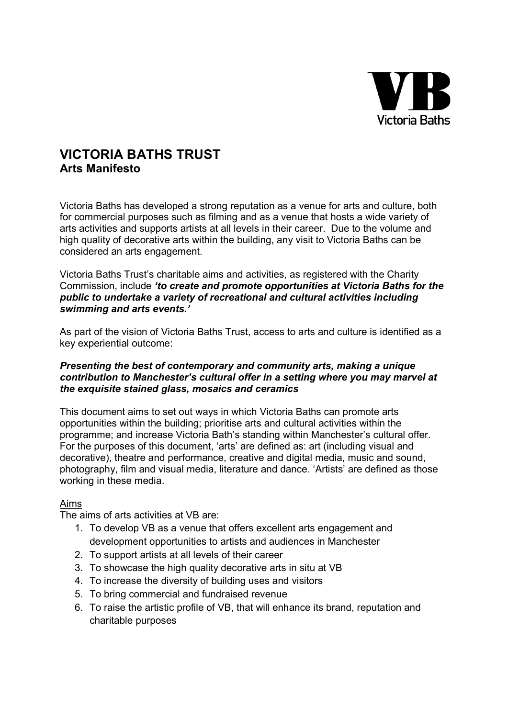

## VICTORIA BATHS TRUST Arts Manifesto

Victoria Baths has developed a strong reputation as a venue for arts and culture, both for commercial purposes such as filming and as a venue that hosts a wide variety of arts activities and supports artists at all levels in their career. Due to the volume and high quality of decorative arts within the building, any visit to Victoria Baths can be considered an arts engagement.

Victoria Baths Trust's charitable aims and activities, as registered with the Charity Commission, include 'to create and promote opportunities at Victoria Baths for the public to undertake a variety of recreational and cultural activities including swimming and arts events.'

As part of the vision of Victoria Baths Trust, access to arts and culture is identified as a key experiential outcome:

## Presenting the best of contemporary and community arts, making a unique contribution to Manchester's cultural offer in a setting where you may marvel at the exquisite stained glass, mosaics and ceramics

This document aims to set out ways in which Victoria Baths can promote arts opportunities within the building; prioritise arts and cultural activities within the programme; and increase Victoria Bath's standing within Manchester's cultural offer. For the purposes of this document, 'arts' are defined as: art (including visual and decorative), theatre and performance, creative and digital media, music and sound, photography, film and visual media, literature and dance. 'Artists' are defined as those working in these media.

## Aims

The aims of arts activities at VB are:

- 1. To develop VB as a venue that offers excellent arts engagement and development opportunities to artists and audiences in Manchester
- 2. To support artists at all levels of their career
- 3. To showcase the high quality decorative arts in situ at VB
- 4. To increase the diversity of building uses and visitors
- 5. To bring commercial and fundraised revenue
- 6. To raise the artistic profile of VB, that will enhance its brand, reputation and charitable purposes